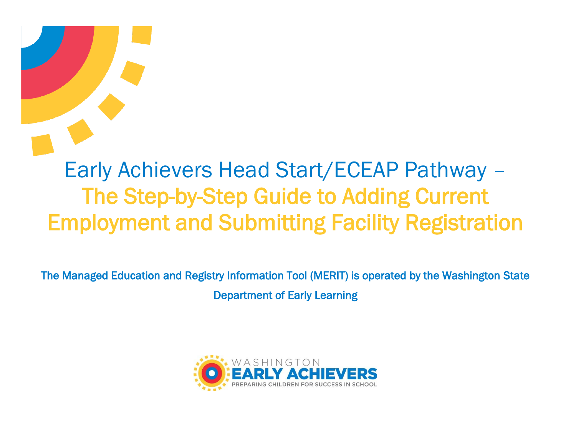# Early Achievers Head Start/ECEAP Pathway – The Step-by-Step Guide to Adding Current Employment and Submitting Facility Registration

The Managed Education and Registry Information Tool (MERIT) is operated by the Washington State Department of Early Learning

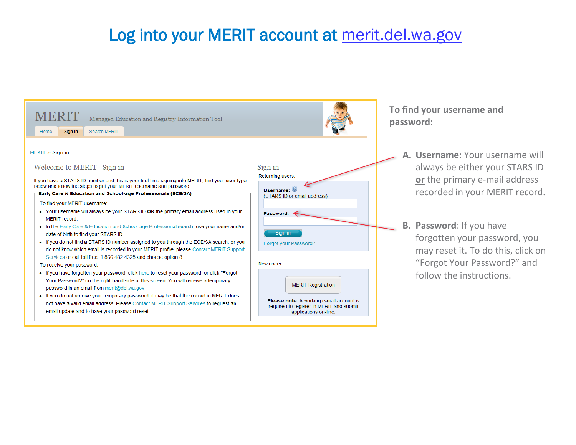#### Log into your MERIT account at merit.del.wa.gov

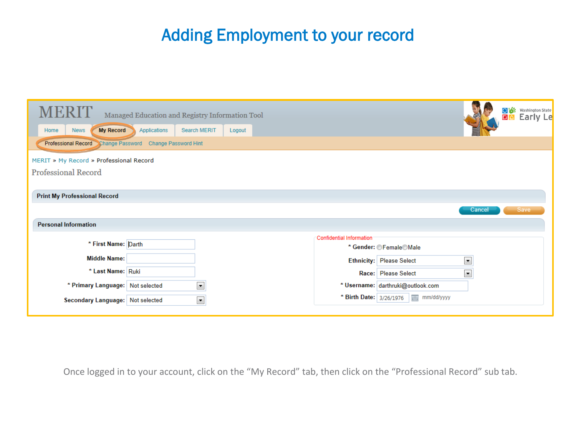### Adding Employment to your record

| Managed Education and Registry Information Tool                         |                          |                                                  | <b>O</b> <sup>to</sup> Washington State |
|-------------------------------------------------------------------------|--------------------------|--------------------------------------------------|-----------------------------------------|
| <b>My Record</b><br>Applications<br>Search MERIT<br><b>News</b><br>Home | Logout                   |                                                  |                                         |
| <b>Professional Record</b><br>Change Password Change Password Hint      |                          |                                                  |                                         |
| MERIT » My Record » Professional Record                                 |                          |                                                  |                                         |
| <b>Professional Record</b>                                              |                          |                                                  |                                         |
|                                                                         |                          |                                                  |                                         |
| <b>Print My Professional Record</b>                                     |                          |                                                  |                                         |
|                                                                         |                          | Cancel                                           | Save                                    |
| <b>Personal Information</b>                                             |                          |                                                  |                                         |
|                                                                         | Confidential Information |                                                  |                                         |
| * First Name: Darth                                                     |                          | * Gender: © Female©Male                          |                                         |
| <b>Middle Name:</b>                                                     |                          | $\blacktriangledown$<br>Ethnicity: Please Select |                                         |
| * Last Name: Ruki                                                       |                          | $\blacktriangledown$<br>Race: Please Select      |                                         |
| $\blacktriangledown$<br>* Primary Language: Not selected                |                          | * Username: darthruki@outlook.com                |                                         |
| $\blacktriangledown$<br>Secondary Language: Not selected                |                          | * Birth Date: 3/26/1976   mm/dd/yyyy             |                                         |
|                                                                         |                          |                                                  |                                         |

Once logged in to your account, click on the "My Record" tab, then click on the "Professional Record" sub tab.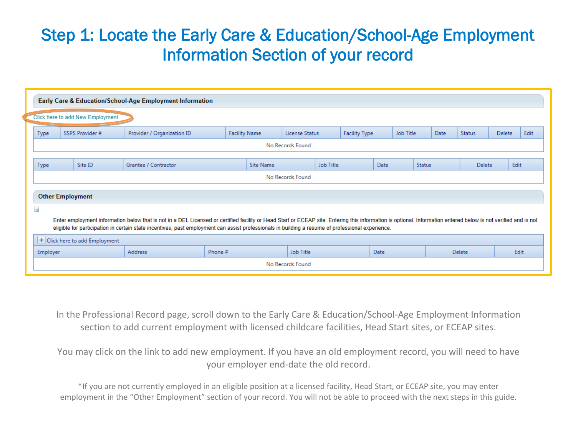### Step 1: Locate the Early Care & Education/School-Age Employment Information Section of your record

|                                                                                                             | Early Care & Education/School-Age Employment Information                                                                                                                                                                                                                                                                                                             |                                    |                            |         |                      |                  |  |               |      |           |      |               |               |      |
|-------------------------------------------------------------------------------------------------------------|----------------------------------------------------------------------------------------------------------------------------------------------------------------------------------------------------------------------------------------------------------------------------------------------------------------------------------------------------------------------|------------------------------------|----------------------------|---------|----------------------|------------------|--|---------------|------|-----------|------|---------------|---------------|------|
|                                                                                                             | Click here to add New Employment                                                                                                                                                                                                                                                                                                                                     |                                    |                            |         |                      |                  |  |               |      |           |      |               |               |      |
|                                                                                                             | <b>Type</b>                                                                                                                                                                                                                                                                                                                                                          | SSPS Provider #                    | Provider / Organization ID |         | <b>Facility Name</b> | License Status   |  | Facility Type |      | Job Title | Date | <b>Status</b> | <b>Delete</b> | Edit |
|                                                                                                             | No Records Found                                                                                                                                                                                                                                                                                                                                                     |                                    |                            |         |                      |                  |  |               |      |           |      |               |               |      |
| Job Title<br><b>Status</b><br>Site ID<br>Grantee / Contractor<br>Site Name<br>Date<br>Delete<br><b>Type</b> |                                                                                                                                                                                                                                                                                                                                                                      |                                    |                            |         | Edit                 |                  |  |               |      |           |      |               |               |      |
|                                                                                                             | No Records Found                                                                                                                                                                                                                                                                                                                                                     |                                    |                            |         |                      |                  |  |               |      |           |      |               |               |      |
|                                                                                                             | <b>Other Employment</b>                                                                                                                                                                                                                                                                                                                                              |                                    |                            |         |                      |                  |  |               |      |           |      |               |               |      |
| $\equiv$                                                                                                    |                                                                                                                                                                                                                                                                                                                                                                      |                                    |                            |         |                      |                  |  |               |      |           |      |               |               |      |
|                                                                                                             | Enter employment information below that is not in a DEL Licensed or certified facility or Head Start or ECEAP site. Entering this information is optional. Information entered below is not verified and is not<br>eligible for participation in certain state incentives, past employment can assist professionals in building a resume of professional experience. |                                    |                            |         |                      |                  |  |               |      |           |      |               |               |      |
|                                                                                                             |                                                                                                                                                                                                                                                                                                                                                                      | $\pm$ Click here to add Employment |                            |         |                      |                  |  |               |      |           |      |               |               |      |
|                                                                                                             | Employer                                                                                                                                                                                                                                                                                                                                                             |                                    | <b>Address</b>             | Phone # |                      | Job Title        |  |               | Date |           |      | Delete        |               | Edit |
|                                                                                                             |                                                                                                                                                                                                                                                                                                                                                                      |                                    |                            |         |                      | No Records Found |  |               |      |           |      |               |               |      |

In the Professional Record page, scroll down to the Early Care & Education/School-Age Employment Information section to add current employment with licensed childcare facilities, Head Start sites, or ECEAP sites.

You may click on the link to add new employment. If you have an old employment record, you will need to have your employer end-date the old record.

 employment in the "Other Employment" section of your record. You will not be able to proceed with the next steps in this guide.\*If you are not currently employed in an eligible position at a licensed facility, Head Start, or ECEAP site, you may enter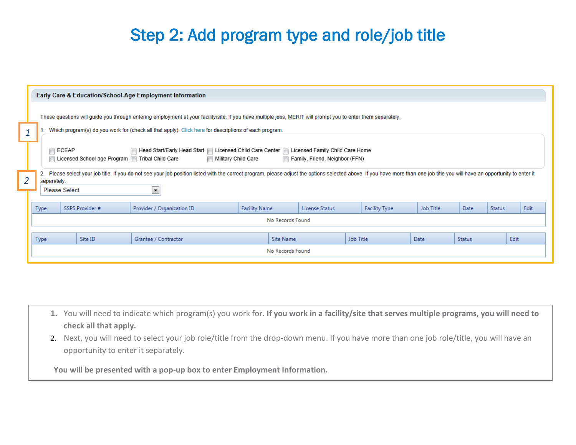### Step 2: Add program type and role/job title

|                | <b>Early Care &amp; Education/School-Age Employment Information</b>                                                                                                                                                                                                      |  |                 |                            |                      |                  |                |           |                      |                  |               |               |      |
|----------------|--------------------------------------------------------------------------------------------------------------------------------------------------------------------------------------------------------------------------------------------------------------------------|--|-----------------|----------------------------|----------------------|------------------|----------------|-----------|----------------------|------------------|---------------|---------------|------|
|                | These questions will guide you through entering employment at your facility/site. If you have multiple jobs, MERIT will prompt you to enter them separately.                                                                                                             |  |                 |                            |                      |                  |                |           |                      |                  |               |               |      |
| $\overline{1}$ | Which program(s) do you work for (check all that apply). Click here for descriptions of each program.                                                                                                                                                                    |  |                 |                            |                      |                  |                |           |                      |                  |               |               |      |
|                | ∣ECEAP<br>  Head Start/Early Head Start   Licensed Child Care Center   Licensed Family Child Care Home<br>□ Licensed School-age Program ■ Tribal Child Care<br>Military Child Care<br>Family, Friend, Neighbor (FFN)                                                     |  |                 |                            |                      |                  |                |           |                      |                  |               |               |      |
| $\overline{2}$ | 2. Please select your job title. If you do not see your job position listed with the correct program, please adjust the options selected above. If you have more than one job title you will have an opportunity to enter it<br>separately.<br>◾<br><b>Please Select</b> |  |                 |                            |                      |                  |                |           |                      |                  |               |               |      |
|                | Type                                                                                                                                                                                                                                                                     |  | SSPS Provider # | Provider / Organization ID | <b>Facility Name</b> |                  | License Status |           | <b>Facility Type</b> | <b>Job Title</b> | Date          | <b>Status</b> | Edit |
|                | No Records Found                                                                                                                                                                                                                                                         |  |                 |                            |                      |                  |                |           |                      |                  |               |               |      |
|                | Type                                                                                                                                                                                                                                                                     |  | Site ID         | Grantee / Contractor       |                      | Site Name        |                | Job Title |                      | Date             | <b>Status</b> |               | Edit |
|                |                                                                                                                                                                                                                                                                          |  |                 |                            |                      | No Records Found |                |           |                      |                  |               |               |      |

- **1.** You will need to indicate which program(s) you work for. **If you work in a facility/site that serves multiple programs, you will need to check all that apply.**
- 2. Next, you will need to select your job role/title from the drop-down menu. If you have more than one job role/title, you will have an opportunity to enter it separately.

**You will be presented with a pop-up box to enter Employment Information.**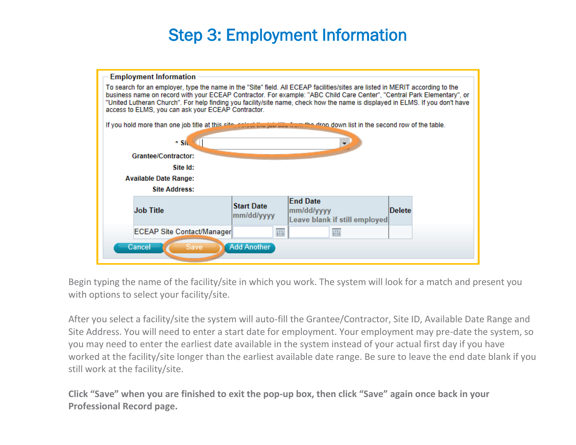### Step 3: Employment Information



Begin typing the name of the facility/site in which you work. The system will look for a match and present you with options to select your facility/site.

After you select a facility/site the system will auto-fill the Grantee/Contractor, Site ID, Available Date Range and Site Address. You will need to enter a start date for employment. Your employment may pre-date the system, so you may need to enter the earliest date available in the system instead of your actual first day if you have worked at the facility/site longer than the earliest available date range. Be sure to leave the end date blank if you still work at the facility/site.

**Click "Save" when you are finished to exit the pop-up box, then click "Save" again once back in your Professional Record page.**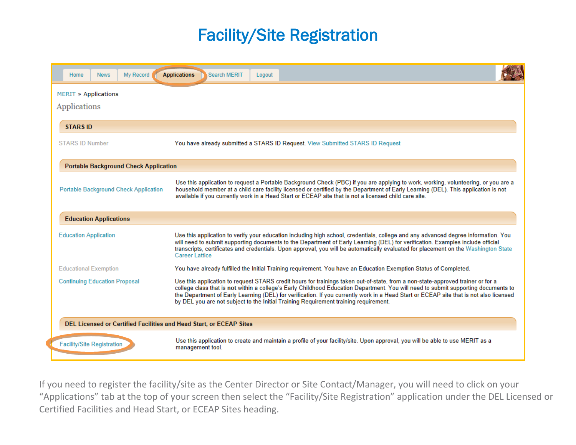### Facility/Site Registration

| My Record<br>Home<br><b>News</b>                                    | <b>Applications</b><br>Search MERIT<br>Logout                                                                                                                                                                                                                                                                                                                                                                                                                                                           |
|---------------------------------------------------------------------|---------------------------------------------------------------------------------------------------------------------------------------------------------------------------------------------------------------------------------------------------------------------------------------------------------------------------------------------------------------------------------------------------------------------------------------------------------------------------------------------------------|
| <b>MERIT » Applications</b><br>Applications                         |                                                                                                                                                                                                                                                                                                                                                                                                                                                                                                         |
| <b>STARS ID</b>                                                     |                                                                                                                                                                                                                                                                                                                                                                                                                                                                                                         |
| <b>STARS ID Number</b>                                              | You have already submitted a STARS ID Request. View Submitted STARS ID Request                                                                                                                                                                                                                                                                                                                                                                                                                          |
| <b>Portable Background Check Application</b>                        |                                                                                                                                                                                                                                                                                                                                                                                                                                                                                                         |
| <b>Portable Background Check Application</b>                        | Use this application to request a Portable Background Check (PBC) if you are applying to work, working, volunteering, or you are a<br>household member at a child care facility licensed or certified by the Department of Early Learning (DEL). This application is not<br>available if you currently work in a Head Start or ECEAP site that is not a licensed child care site.                                                                                                                       |
| <b>Education Applications</b>                                       |                                                                                                                                                                                                                                                                                                                                                                                                                                                                                                         |
| <b>Education Application</b>                                        | Use this application to verify your education including high school, credentials, college and any advanced degree information. You<br>will need to submit supporting documents to the Department of Early Learning (DEL) for verification. Examples include official<br>transcripts, certificates and credentials. Upon approval, you will be automatically evaluated for placement on the Washington State<br><b>Career Lattice</b>                                                                    |
| <b>Educational Exemption</b>                                        | You have already fulfilled the Initial Training requirement. You have an Education Exemption Status of Completed.                                                                                                                                                                                                                                                                                                                                                                                       |
| <b>Continuing Education Proposal</b>                                | Use this application to request STARS credit hours for trainings taken out-of-state, from a non-state-approved trainer or for a<br>college class that is not within a college's Early Childhood Education Department. You will need to submit supporting documents to<br>the Department of Early Learning (DEL) for verification. If you currently work in a Head Start or ECEAP site that is not also licensed<br>by DEL you are not subject to the Initial Training Requirement training requirement. |
| DEL Licensed or Certified Facilities and Head Start, or ECEAP Sites |                                                                                                                                                                                                                                                                                                                                                                                                                                                                                                         |
| <b>Facility/Site Registration</b>                                   | Use this application to create and maintain a profile of your facility/site. Upon approval, you will be able to use MERIT as a<br>management tool.                                                                                                                                                                                                                                                                                                                                                      |

If you need to register the facility/site as the Center Director or Site Contact/Manager, you will need to click on your "Applications" tab at the top of your screen then select the "Facility/Site Registration" application under the DEL Licensed or Certified Facilities and Head Start, or ECEAP Sites heading.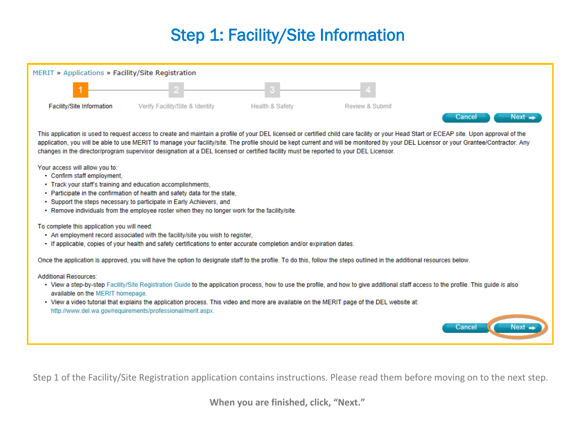## Step 1: Facility/Site Information

| MERIT » Applications » Facility/Site Registration                |                                                                                                                                                                                                                                                                                                                                                                                                                                                                                                                             |                            |                            |                  |
|------------------------------------------------------------------|-----------------------------------------------------------------------------------------------------------------------------------------------------------------------------------------------------------------------------------------------------------------------------------------------------------------------------------------------------------------------------------------------------------------------------------------------------------------------------------------------------------------------------|----------------------------|----------------------------|------------------|
|                                                                  |                                                                                                                                                                                                                                                                                                                                                                                                                                                                                                                             |                            |                            |                  |
| Facility/Site Information                                        | Verify Facility/Site & Identity                                                                                                                                                                                                                                                                                                                                                                                                                                                                                             | <b>Health &amp; Safety</b> | <b>Review &amp; Submit</b> | Next =<br>Cancel |
|                                                                  | This application is used to request access to create and maintain a profile of your DEL licensed or certified child care facility or your Head Start or ECEAP site. Upon approval of the<br>application, you will be able to use MERIT to manage your facility/site. The profile should be kept current and will be monitored by your DEL Licensor or your Grantee/Contractor. Any<br>changes in the director/program supervisor designation at a DEL licensed or certified facility must be reported to your DEL Licensor. |                            |                            |                  |
| Your access will allow you to:<br>• Confirm staff employment,    | • Track your staff's training and education accomplishments.<br>• Participate in the confirmation of health and safety data for the state,<br>• Support the steps necessary to participate in Early Achievers, and<br>. Remove individuals from the employee roster when they no longer work for the facility/site.                                                                                                                                                                                                         |                            |                            |                  |
| To complete this application you will need:                      | • An employment record associated with the facility/site you wish to register,<br>• If applicable, copies of your health and safety certifications to enter accurate completion and/or expiration dates.                                                                                                                                                                                                                                                                                                                    |                            |                            |                  |
|                                                                  | Once the application is approved, you will have the option to designate staff to the profile. To do this, follow the steps outlined in the additional resources below.                                                                                                                                                                                                                                                                                                                                                      |                            |                            |                  |
| <b>Additional Resources:</b><br>available on the MERIT homepage. | • View a step-by-step Facility/Site Registration Guide to the application process, how to use the profile, and how to give additional staff access to the profile. This quide is also<br>• View a video tutorial that explains the application process. This video and more are available on the MERIT page of the DEL website at:<br>http://www.del.wa.gov/requirements/professional/merit.aspx.                                                                                                                           |                            |                            | Cancel<br>Next   |

Step 1 of the Facility/Site Registration application contains instructions. Please read them before moving on to the next step.

**When you are finished, click, "Next."**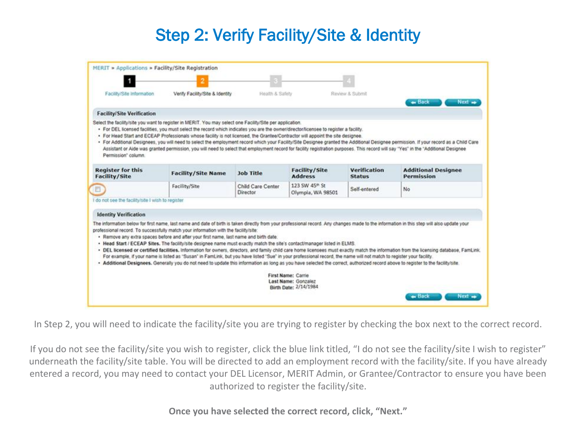## Step 2: Verify Facility/Site & Identity

| Facility/Site Information                         | Verify Facility/Site & Identity                                                                                                                                                                                                                                                                                                                                                       | Health & Safety               |                                                | Review & Submit               | - Back<br>Next <sup>1</sup>                                                                                                                                                                                                                                                                                                                                                   |
|---------------------------------------------------|---------------------------------------------------------------------------------------------------------------------------------------------------------------------------------------------------------------------------------------------------------------------------------------------------------------------------------------------------------------------------------------|-------------------------------|------------------------------------------------|-------------------------------|-------------------------------------------------------------------------------------------------------------------------------------------------------------------------------------------------------------------------------------------------------------------------------------------------------------------------------------------------------------------------------|
| <b>Facility/Site Verification</b>                 |                                                                                                                                                                                                                                                                                                                                                                                       |                               |                                                |                               |                                                                                                                                                                                                                                                                                                                                                                               |
| Permission" column                                | Select the facility/site you want to register in MERIT. You may select one Facility/Site per application.<br>· For DEL licensed facilities, you must select the record which indicates you are the owner/director/licensee to register a facility.<br>. For Head Start and ECEAP Professionals whose facility is not licensed, the Grantee/Contractor will appoint the site designee. |                               |                                                |                               | · For Additional Designees, you will need to select the employment record which your Facility/Site Designee granted the Additional Designee permission. If your record as a Child Care<br>Assistant or Aide was granted permission, you will need to select that employment record for facility registration purposes. This record will say "Yes" in the "Additional Designee |
| <b>Register for this</b><br><b>Facility/Site</b>  | <b>Facility/Site Name</b>                                                                                                                                                                                                                                                                                                                                                             | <b>Job Title</b>              | <b>Facility/Site</b><br><b>Address</b>         | Verification<br><b>Status</b> | <b>Additional Designee</b><br><b>Permission</b>                                                                                                                                                                                                                                                                                                                               |
|                                                   | Facility/Site                                                                                                                                                                                                                                                                                                                                                                         | Child Care Center<br>Director | 123 SW 45 <sup>m</sup> St<br>Olympia, WA 98501 | Self-entered                  | No                                                                                                                                                                                                                                                                                                                                                                            |
|                                                   |                                                                                                                                                                                                                                                                                                                                                                                       |                               |                                                |                               |                                                                                                                                                                                                                                                                                                                                                                               |
| I do not see the facility/site I wish to register |                                                                                                                                                                                                                                                                                                                                                                                       |                               |                                                |                               |                                                                                                                                                                                                                                                                                                                                                                               |
| <b>Identity Verification</b>                      |                                                                                                                                                                                                                                                                                                                                                                                       |                               |                                                |                               | The information below for first name, last name and date of birth is taken directly from your professional record. Any changes made to the information in this step will also update your                                                                                                                                                                                     |

In Step 2, you will need to indicate the facility/site you are trying to register by checking the box next to the correct record.

If you do not see the facility/site you wish to register, click the blue link titled, "I do not see the facility/site I wish to register" underneath the facility/site table. You will be directed to add an employment record with the facility/site. If you have already entered a record, you may need to contact your DEL Licensor, MERIT Admin, or Grantee/Contractor to ensure you have been authorized to register the facility/site.

**Once you have selected the correct record, click, "Next."**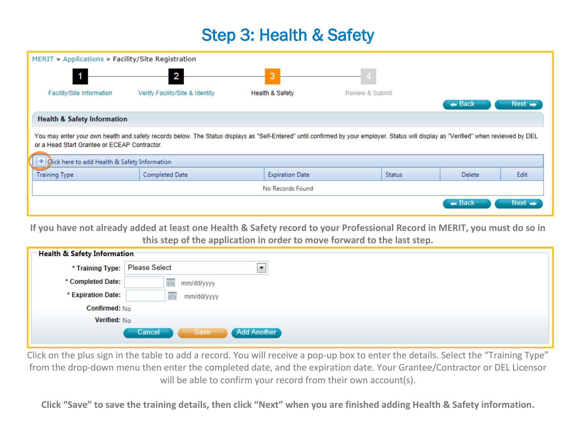#### Step 3: Health & Safety

| 3<br><b>Health &amp; Safety</b><br><b>Facility/Site Information</b><br>Verify Facility/Site & Identity<br><b>Review &amp; Submit</b><br>$\leftarrow$ Back<br>$Next \rightarrow$<br><b>Health &amp; Safety Information</b><br>You may enter your own health and safety records below. The Status displays as "Self-Entered" until confirmed by your employer. Status will display as "Verified" when reviewed by DEL<br>or a Head Start Grantee or ECEAP Contractor.<br>$+$ Olick here to add Health & Safety Information<br><b>Training Type</b><br>Completed Date<br><b>Expiration Date</b><br>Edit<br><b>Delete</b><br><b>Status</b> | MERIT » Applications » Facility/Site Registration |  |  |  |  |  |  |  |
|----------------------------------------------------------------------------------------------------------------------------------------------------------------------------------------------------------------------------------------------------------------------------------------------------------------------------------------------------------------------------------------------------------------------------------------------------------------------------------------------------------------------------------------------------------------------------------------------------------------------------------------|---------------------------------------------------|--|--|--|--|--|--|--|
|                                                                                                                                                                                                                                                                                                                                                                                                                                                                                                                                                                                                                                        |                                                   |  |  |  |  |  |  |  |
|                                                                                                                                                                                                                                                                                                                                                                                                                                                                                                                                                                                                                                        |                                                   |  |  |  |  |  |  |  |
|                                                                                                                                                                                                                                                                                                                                                                                                                                                                                                                                                                                                                                        |                                                   |  |  |  |  |  |  |  |
|                                                                                                                                                                                                                                                                                                                                                                                                                                                                                                                                                                                                                                        |                                                   |  |  |  |  |  |  |  |
|                                                                                                                                                                                                                                                                                                                                                                                                                                                                                                                                                                                                                                        |                                                   |  |  |  |  |  |  |  |
|                                                                                                                                                                                                                                                                                                                                                                                                                                                                                                                                                                                                                                        |                                                   |  |  |  |  |  |  |  |
|                                                                                                                                                                                                                                                                                                                                                                                                                                                                                                                                                                                                                                        |                                                   |  |  |  |  |  |  |  |
| No Records Found                                                                                                                                                                                                                                                                                                                                                                                                                                                                                                                                                                                                                       |                                                   |  |  |  |  |  |  |  |
| $\leftarrow$ Back<br>$Next \rightarrow$                                                                                                                                                                                                                                                                                                                                                                                                                                                                                                                                                                                                |                                                   |  |  |  |  |  |  |  |

**If you have not already added at least one Health & Safety record to your Professional Record in MERIT, you must do so in this step of the application in order to move forward to the last step.**

| <b>Health &amp; Safety Information</b> |                                                  |
|----------------------------------------|--------------------------------------------------|
| * Training Type:                       | <b>Please Select</b><br>$\overline{\phantom{a}}$ |
| * Completed Date:                      | 囲<br>mm/dd/yyyy                                  |
| * Expiration Date:                     | 囲<br>mm/dd/yyyy                                  |
| Confirmed: No                          |                                                  |
| Verified: No                           |                                                  |
|                                        | Add Another<br>Cancel<br>Save                    |

Click on the plus sign in the table to add a record. You will receive a pop-up box to enter the details. Select the "Training Type" from the drop-down menu then enter the completed date, and the expiration date. Your Grantee/Contractor or DEL Licensor will be able to confirm your record from their own account(s).

**Click "Save" to save the training details, then click "Next" when you are finished adding Health & Safety information.**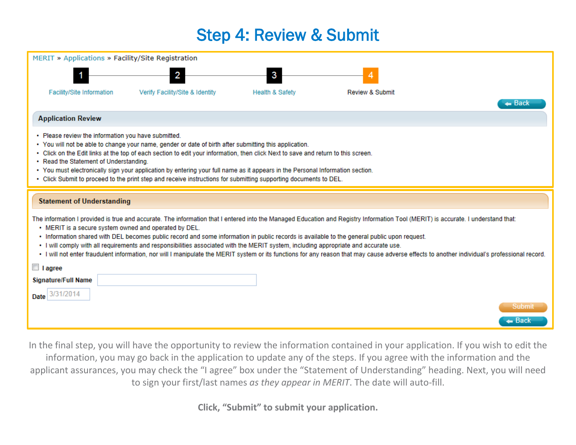#### Step 4: Review & Submit

| MERIT » Applications » Facility/Site Registration                                                                                                                                                                                                                                                                                                                                                                                                                                                                                                                                                                                                                                                                                 |                                 |                            |                            |        |  |  |  |  |
|-----------------------------------------------------------------------------------------------------------------------------------------------------------------------------------------------------------------------------------------------------------------------------------------------------------------------------------------------------------------------------------------------------------------------------------------------------------------------------------------------------------------------------------------------------------------------------------------------------------------------------------------------------------------------------------------------------------------------------------|---------------------------------|----------------------------|----------------------------|--------|--|--|--|--|
|                                                                                                                                                                                                                                                                                                                                                                                                                                                                                                                                                                                                                                                                                                                                   |                                 | 3                          |                            |        |  |  |  |  |
| <b>Facility/Site Information</b>                                                                                                                                                                                                                                                                                                                                                                                                                                                                                                                                                                                                                                                                                                  | Verify Facility/Site & Identity | <b>Health &amp; Safety</b> | <b>Review &amp; Submit</b> | — Back |  |  |  |  |
| <b>Application Review</b>                                                                                                                                                                                                                                                                                                                                                                                                                                                                                                                                                                                                                                                                                                         |                                 |                            |                            |        |  |  |  |  |
| • Please review the information you have submitted.<br>• You will not be able to change your name, gender or date of birth after submitting this application.<br>. Click on the Edit links at the top of each section to edit your information, then click Next to save and return to this screen.<br>• Read the Statement of Understanding.<br>. You must electronically sign your application by entering your full name as it appears in the Personal Information section.<br>. Click Submit to proceed to the print step and receive instructions for submitting supporting documents to DEL.                                                                                                                                 |                                 |                            |                            |        |  |  |  |  |
| <b>Statement of Understanding</b>                                                                                                                                                                                                                                                                                                                                                                                                                                                                                                                                                                                                                                                                                                 |                                 |                            |                            |        |  |  |  |  |
| The information I provided is true and accurate. The information that I entered into the Managed Education and Registry Information Tool (MERIT) is accurate. I understand that:<br>• MERIT is a secure system owned and operated by DEL.<br>• Information shared with DEL becomes public record and some information in public records is available to the general public upon request.<br>· I will comply with all requirements and responsibilities associated with the MERIT system, including appropriate and accurate use.<br>· I will not enter fraudulent information, nor will I manipulate the MERIT system or its functions for any reason that may cause adverse effects to another individual's professional record. |                                 |                            |                            |        |  |  |  |  |
| $\Box$ I agree                                                                                                                                                                                                                                                                                                                                                                                                                                                                                                                                                                                                                                                                                                                    |                                 |                            |                            |        |  |  |  |  |
| <b>Signature/Full Name</b>                                                                                                                                                                                                                                                                                                                                                                                                                                                                                                                                                                                                                                                                                                        |                                 |                            |                            |        |  |  |  |  |
| /31/2014<br>Date                                                                                                                                                                                                                                                                                                                                                                                                                                                                                                                                                                                                                                                                                                                  |                                 |                            |                            |        |  |  |  |  |
|                                                                                                                                                                                                                                                                                                                                                                                                                                                                                                                                                                                                                                                                                                                                   |                                 |                            |                            | Submit |  |  |  |  |
|                                                                                                                                                                                                                                                                                                                                                                                                                                                                                                                                                                                                                                                                                                                                   |                                 |                            |                            | — Back |  |  |  |  |

In the final step, you will have the opportunity to review the information contained in your application. If you wish to edit the information, you may go back in the application to update any of the steps. If you agree with the information and the applicant assurances, you may check the "I agree" box under the "Statement of Understanding" heading. Next, you will need to sign your first/last names *as they appear in MERIT*. The date will auto-fill.

**Click, "Submit" to submit your application.**